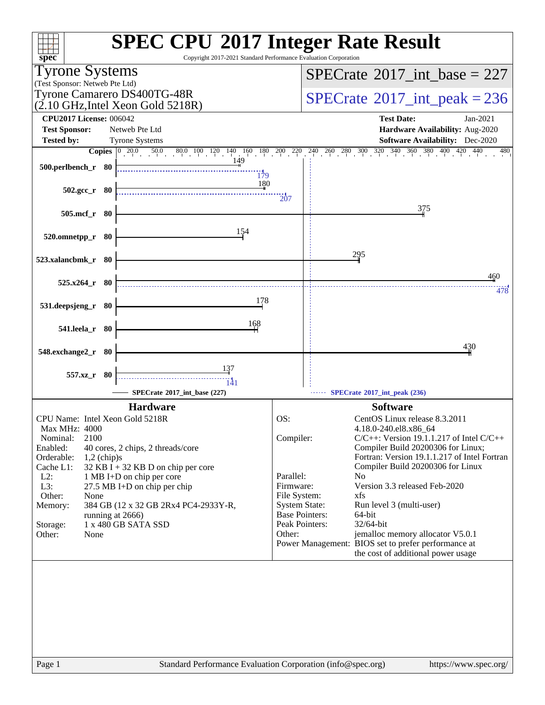| $spec^*$                                                                                 | <b>SPEC CPU®2017 Integer Rate Result</b><br>Copyright 2017-2021 Standard Performance Evaluation Corporation                                                                        |
|------------------------------------------------------------------------------------------|------------------------------------------------------------------------------------------------------------------------------------------------------------------------------------|
| <b>Tyrone Systems</b>                                                                    | $SPECrate^{\circledast}2017\_int\_base = 227$                                                                                                                                      |
| (Test Sponsor: Netweb Pte Ltd)<br>Tyrone Camarero DS400TG-48R                            |                                                                                                                                                                                    |
| $(2.10 \text{ GHz}, \text{Intel Xeon Gold } 5218\text{R})$                               | $SPECrate^{\circ}2017\_int\_peak = 236$                                                                                                                                            |
| <b>CPU2017 License: 006042</b>                                                           | <b>Test Date:</b><br>$Jan-2021$                                                                                                                                                    |
| <b>Test Sponsor:</b><br>Netweb Pte Ltd<br><b>Tested by:</b><br><b>Tyrone Systems</b>     | Hardware Availability: Aug-2020<br><b>Software Availability:</b> Dec-2020                                                                                                          |
|                                                                                          | <b>Copies</b> $\begin{bmatrix} 0 & 20.0 & 50.0 & 80.0 & 100 & 120 & 140 & 160 & 180 & 200 & 220 & 240 & 260 & 300 & 320 & 340 & 360 & 380 & 400 & 420 \end{bmatrix}$<br>440<br>480 |
| 149<br>$500.$ perlbench_r 80                                                             |                                                                                                                                                                                    |
|                                                                                          | $\frac{11}{179}$<br>180                                                                                                                                                            |
| $502.\text{gcc r}$ 80                                                                    | $\overline{207}$                                                                                                                                                                   |
| 505.mcf_r 80                                                                             | 375                                                                                                                                                                                |
|                                                                                          |                                                                                                                                                                                    |
| 154<br>520.omnetpp_r 80                                                                  |                                                                                                                                                                                    |
|                                                                                          | 295                                                                                                                                                                                |
| 523.xalancbmk_r 80                                                                       |                                                                                                                                                                                    |
| $525.x264$ $r$ 80                                                                        | 460                                                                                                                                                                                |
|                                                                                          | 478<br>178                                                                                                                                                                         |
| 531.deepsjeng_r 80                                                                       |                                                                                                                                                                                    |
| 168<br>541.leela_r 80                                                                    |                                                                                                                                                                                    |
|                                                                                          | 430                                                                                                                                                                                |
| 548.exchange2_r 80                                                                       |                                                                                                                                                                                    |
| 557.xz_r 80                                                                              |                                                                                                                                                                                    |
| 141<br>SPECrate®2017_int_base (227)                                                      | SPECrate®2017_int_peak (236)                                                                                                                                                       |
| <b>Hardware</b>                                                                          | <b>Software</b>                                                                                                                                                                    |
| CPU Name: Intel Xeon Gold 5218R                                                          | OS:<br>CentOS Linux release 8.3.2011                                                                                                                                               |
| Max MHz: 4000                                                                            | 4.18.0-240.el8.x86_64                                                                                                                                                              |
| 2100<br>Nominal:<br>Enabled:<br>40 cores, 2 chips, 2 threads/core                        | Compiler:<br>$C/C++$ : Version 19.1.1.217 of Intel $C/C++$<br>Compiler Build 20200306 for Linux;                                                                                   |
| Orderable:<br>$1,2$ (chip)s                                                              | Fortran: Version 19.1.1.217 of Intel Fortran                                                                                                                                       |
| $32$ KB I + 32 KB D on chip per core<br>Cache L1:<br>$L2$ :<br>1 MB I+D on chip per core | Compiler Build 20200306 for Linux<br>Parallel:<br>N <sub>0</sub>                                                                                                                   |
| L3:<br>27.5 MB I+D on chip per chip                                                      | Version 3.3 released Feb-2020<br>Firmware:                                                                                                                                         |
| Other:<br>None<br>384 GB (12 x 32 GB 2Rx4 PC4-2933Y-R,<br>Memory:                        | File System:<br>xfs<br><b>System State:</b><br>Run level 3 (multi-user)                                                                                                            |
| running at 2666)                                                                         | <b>Base Pointers:</b><br>64-bit                                                                                                                                                    |
| 1 x 480 GB SATA SSD<br>Storage:<br>Other:<br>None                                        | Peak Pointers:<br>$32/64$ -bit<br>jemalloc memory allocator V5.0.1<br>Other:                                                                                                       |
|                                                                                          | Power Management: BIOS set to prefer performance at                                                                                                                                |
|                                                                                          | the cost of additional power usage                                                                                                                                                 |
|                                                                                          |                                                                                                                                                                                    |
|                                                                                          |                                                                                                                                                                                    |
|                                                                                          |                                                                                                                                                                                    |
|                                                                                          |                                                                                                                                                                                    |
|                                                                                          |                                                                                                                                                                                    |
|                                                                                          |                                                                                                                                                                                    |
| Page 1                                                                                   | Standard Performance Evaluation Corporation (info@spec.org)<br>https://www.spec.org/                                                                                               |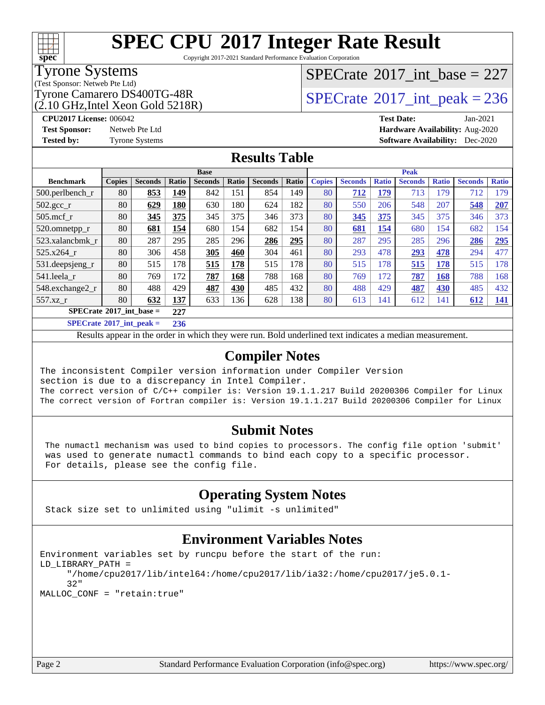# **[SPEC CPU](http://www.spec.org/auto/cpu2017/Docs/result-fields.html#SPECCPU2017IntegerRateResult)[2017 Integer Rate Result](http://www.spec.org/auto/cpu2017/Docs/result-fields.html#SPECCPU2017IntegerRateResult)**

Copyright 2017-2021 Standard Performance Evaluation Corporation

### Tyrone Systems

(Test Sponsor: Netweb Pte Ltd)

(2.10 GHz,Intel Xeon Gold 5218R)

### $SPECrate$ <sup>®</sup>[2017\\_int\\_base =](http://www.spec.org/auto/cpu2017/Docs/result-fields.html#SPECrate2017intbase) 227

### Tyrone Camarero DS400TG-48R<br> $\frac{(2.10 \text{ GHz Intel Year Gold 5218R})}{2.0 \text{ GHz Intel Year Gold 5218R}}$

#### **[CPU2017 License:](http://www.spec.org/auto/cpu2017/Docs/result-fields.html#CPU2017License)** 006042 **[Test Date:](http://www.spec.org/auto/cpu2017/Docs/result-fields.html#TestDate)** Jan-2021 **[Test Sponsor:](http://www.spec.org/auto/cpu2017/Docs/result-fields.html#TestSponsor)** Netweb Pte Ltd **[Hardware Availability:](http://www.spec.org/auto/cpu2017/Docs/result-fields.html#HardwareAvailability)** Aug-2020 **[Tested by:](http://www.spec.org/auto/cpu2017/Docs/result-fields.html#Testedby)** Tyrone Systems **[Software Availability:](http://www.spec.org/auto/cpu2017/Docs/result-fields.html#SoftwareAvailability)** Dec-2020

#### **[Results Table](http://www.spec.org/auto/cpu2017/Docs/result-fields.html#ResultsTable)**

|                                   | <b>Base</b>   |                |            |                |       | <b>Peak</b>    |       |               |                |              |                |              |                |              |
|-----------------------------------|---------------|----------------|------------|----------------|-------|----------------|-------|---------------|----------------|--------------|----------------|--------------|----------------|--------------|
| <b>Benchmark</b>                  | <b>Copies</b> | <b>Seconds</b> | Ratio      | <b>Seconds</b> | Ratio | <b>Seconds</b> | Ratio | <b>Copies</b> | <b>Seconds</b> | <b>Ratio</b> | <b>Seconds</b> | <b>Ratio</b> | <b>Seconds</b> | <b>Ratio</b> |
| $500$ .perlbench r                | 80            | 853            | 149        | 842            | 151   | 854            | 149   | 80            | 712            | 179          | 713            | 179          | 712            | 179          |
| 502.gcc_r                         | 80            | 629            | <b>180</b> | 630            | 180   | 624            | 182   | 80            | 550            | 206          | 548            | 207          | 548            | 207          |
| $505$ .mcf r                      | 80            | 345            | 375        | 345            | 375   | 346            | 373   | 80            | 345            | 375          | 345            | 375          | 346            | 373          |
| 520.omnetpp_r                     | 80            | 681            | 154        | 680            | 154   | 682            | 154   | 80            | 681            | 154          | 680            | 154          | 682            | 154          |
| 523.xalancbmk_r                   | 80            | 287            | 295        | 285            | 296   | 286            | 295   | 80            | 287            | 295          | 285            | 296          | 286            | 295          |
| 525.x264 r                        | 80            | 306            | 458        | 305            | 460   | 304            | 461   | 80            | 293            | 478          | 293            | 478          | 294            | 477          |
| 531.deepsjeng_r                   | 80            | 515            | 178        | 515            | 178   | 515            | 178   | 80            | 515            | 178          | 515            | 178          | 515            | 178          |
| 541.leela_r                       | 80            | 769            | 172        | 787            | 168   | 788            | 168   | 80            | 769            | 172          | 787            | 168          | 788            | 168          |
| 548.exchange2_r                   | 80            | 488            | 429        | 487            | 430   | 485            | 432   | 80            | 488            | 429          | 487            | 430          | 485            | 432          |
| 557.xz r                          | 80            | 632            | 137        | 633            | 136   | 628            | 138   | 80            | 613            | 141          | 612            | 141          | 612            | 141          |
| $SPECrate^{\circ}2017$ int base = |               |                | 227        |                |       |                |       |               |                |              |                |              |                |              |

**[SPECrate](http://www.spec.org/auto/cpu2017/Docs/result-fields.html#SPECrate2017intpeak)[2017\\_int\\_peak =](http://www.spec.org/auto/cpu2017/Docs/result-fields.html#SPECrate2017intpeak) 236**

Results appear in the [order in which they were run](http://www.spec.org/auto/cpu2017/Docs/result-fields.html#RunOrder). Bold underlined text [indicates a median measurement](http://www.spec.org/auto/cpu2017/Docs/result-fields.html#Median).

#### **[Compiler Notes](http://www.spec.org/auto/cpu2017/Docs/result-fields.html#CompilerNotes)**

The inconsistent Compiler version information under Compiler Version section is due to a discrepancy in Intel Compiler. The correct version of C/C++ compiler is: Version 19.1.1.217 Build 20200306 Compiler for Linux The correct version of Fortran compiler is: Version 19.1.1.217 Build 20200306 Compiler for Linux

#### **[Submit Notes](http://www.spec.org/auto/cpu2017/Docs/result-fields.html#SubmitNotes)**

 The numactl mechanism was used to bind copies to processors. The config file option 'submit' was used to generate numactl commands to bind each copy to a specific processor. For details, please see the config file.

#### **[Operating System Notes](http://www.spec.org/auto/cpu2017/Docs/result-fields.html#OperatingSystemNotes)**

Stack size set to unlimited using "ulimit -s unlimited"

#### **[Environment Variables Notes](http://www.spec.org/auto/cpu2017/Docs/result-fields.html#EnvironmentVariablesNotes)**

```
Environment variables set by runcpu before the start of the run:
LD_LIBRARY_PATH =
      "/home/cpu2017/lib/intel64:/home/cpu2017/lib/ia32:/home/cpu2017/je5.0.1-
      32"
MALLOC_CONF = "retain:true"
```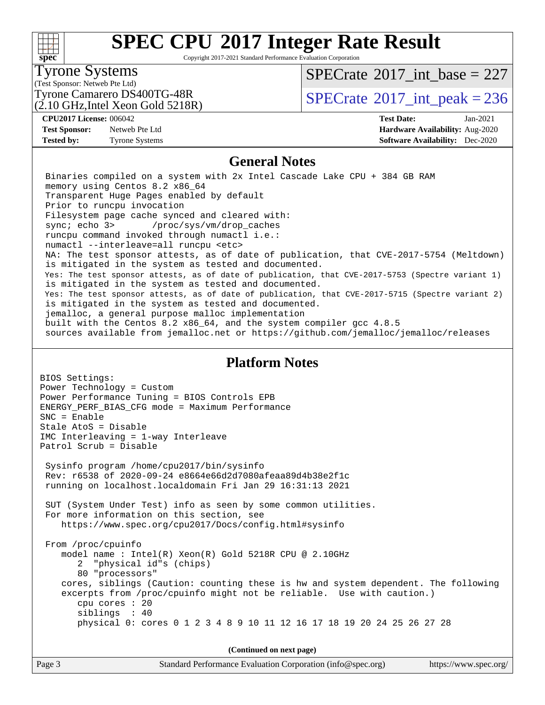#### $+\!\!+\!\!$ **[spec](http://www.spec.org/)**

# **[SPEC CPU](http://www.spec.org/auto/cpu2017/Docs/result-fields.html#SPECCPU2017IntegerRateResult)[2017 Integer Rate Result](http://www.spec.org/auto/cpu2017/Docs/result-fields.html#SPECCPU2017IntegerRateResult)**

Copyright 2017-2021 Standard Performance Evaluation Corporation

### Tyrone Systems

(Test Sponsor: Netweb Pte Ltd)

(2.10 GHz,Intel Xeon Gold 5218R)

 $SPECTate$ <sup>®</sup>[2017\\_int\\_base =](http://www.spec.org/auto/cpu2017/Docs/result-fields.html#SPECrate2017intbase) 227

Tyrone Camarero DS400TG-48R<br> $\frac{1}{2}$  [SPECrate](http://www.spec.org/auto/cpu2017/Docs/result-fields.html#SPECrate2017intpeak) [2017\\_int\\_peak = 2](http://www.spec.org/auto/cpu2017/Docs/result-fields.html#SPECrate2017intpeak)36

**[Test Sponsor:](http://www.spec.org/auto/cpu2017/Docs/result-fields.html#TestSponsor)** Netweb Pte Ltd **[Hardware Availability:](http://www.spec.org/auto/cpu2017/Docs/result-fields.html#HardwareAvailability)** Aug-2020

**[CPU2017 License:](http://www.spec.org/auto/cpu2017/Docs/result-fields.html#CPU2017License)** 006042 **[Test Date:](http://www.spec.org/auto/cpu2017/Docs/result-fields.html#TestDate)** Jan-2021 **[Tested by:](http://www.spec.org/auto/cpu2017/Docs/result-fields.html#Testedby)** Tyrone Systems **[Software Availability:](http://www.spec.org/auto/cpu2017/Docs/result-fields.html#SoftwareAvailability)** Dec-2020

#### **[General Notes](http://www.spec.org/auto/cpu2017/Docs/result-fields.html#GeneralNotes)**

 Binaries compiled on a system with 2x Intel Cascade Lake CPU + 384 GB RAM memory using Centos 8.2 x86\_64 Transparent Huge Pages enabled by default Prior to runcpu invocation Filesystem page cache synced and cleared with: sync; echo 3> /proc/sys/vm/drop\_caches runcpu command invoked through numactl i.e.: numactl --interleave=all runcpu <etc> NA: The test sponsor attests, as of date of publication, that CVE-2017-5754 (Meltdown) is mitigated in the system as tested and documented. Yes: The test sponsor attests, as of date of publication, that CVE-2017-5753 (Spectre variant 1) is mitigated in the system as tested and documented. Yes: The test sponsor attests, as of date of publication, that CVE-2017-5715 (Spectre variant 2) is mitigated in the system as tested and documented. jemalloc, a general purpose malloc implementation built with the Centos 8.2 x86\_64, and the system compiler gcc 4.8.5 sources available from jemalloc.net or<https://github.com/jemalloc/jemalloc/releases>

#### **[Platform Notes](http://www.spec.org/auto/cpu2017/Docs/result-fields.html#PlatformNotes)**

BIOS Settings: Power Technology = Custom Power Performance Tuning = BIOS Controls EPB ENERGY\_PERF\_BIAS\_CFG mode = Maximum Performance SNC = Enable Stale AtoS = Disable IMC Interleaving = 1-way Interleave Patrol Scrub = Disable Sysinfo program /home/cpu2017/bin/sysinfo Rev: r6538 of 2020-09-24 e8664e66d2d7080afeaa89d4b38e2f1c running on localhost.localdomain Fri Jan 29 16:31:13 2021 SUT (System Under Test) info as seen by some common utilities. For more information on this section, see <https://www.spec.org/cpu2017/Docs/config.html#sysinfo> From /proc/cpuinfo model name : Intel(R) Xeon(R) Gold 5218R CPU @ 2.10GHz 2 "physical id"s (chips) 80 "processors" cores, siblings (Caution: counting these is hw and system dependent. The following excerpts from /proc/cpuinfo might not be reliable. Use with caution.) cpu cores : 20 siblings : 40 physical 0: cores 0 1 2 3 4 8 9 10 11 12 16 17 18 19 20 24 25 26 27 28

**(Continued on next page)**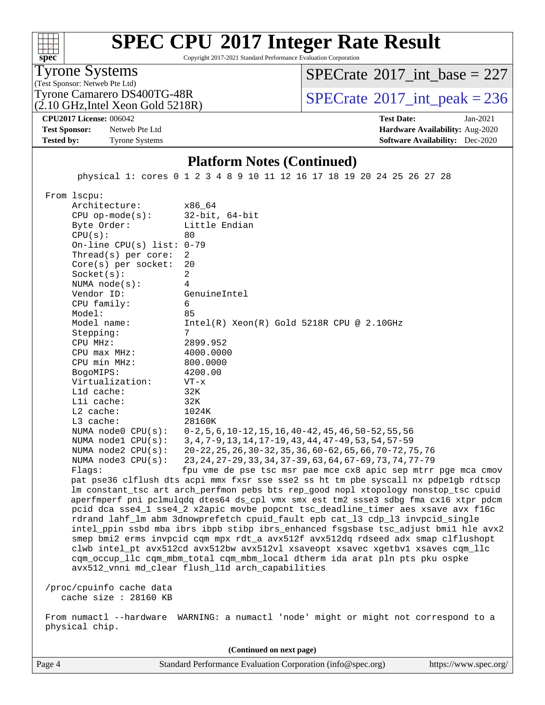#### $+\ +$ **[spec](http://www.spec.org/)**

# **[SPEC CPU](http://www.spec.org/auto/cpu2017/Docs/result-fields.html#SPECCPU2017IntegerRateResult)[2017 Integer Rate Result](http://www.spec.org/auto/cpu2017/Docs/result-fields.html#SPECCPU2017IntegerRateResult)**

Copyright 2017-2021 Standard Performance Evaluation Corporation

Tyrone Systems

(Test Sponsor: Netweb Pte Ltd)

 $SPECTate$ <sup>®</sup>[2017\\_int\\_base =](http://www.spec.org/auto/cpu2017/Docs/result-fields.html#SPECrate2017intbase) 227

(2.10 GHz,Intel Xeon Gold 5218R)

Tyrone Camarero DS400TG-48R<br> $\frac{(2.10 \text{ GHz Intel Year Gold 5218R})}{2.10 \text{ GHz Intel Year Gold 5218R}}$ 

**[CPU2017 License:](http://www.spec.org/auto/cpu2017/Docs/result-fields.html#CPU2017License)** 006042 **[Test Date:](http://www.spec.org/auto/cpu2017/Docs/result-fields.html#TestDate)** Jan-2021

#### **[Test Sponsor:](http://www.spec.org/auto/cpu2017/Docs/result-fields.html#TestSponsor)** Netweb Pte Ltd **[Hardware Availability:](http://www.spec.org/auto/cpu2017/Docs/result-fields.html#HardwareAvailability)** Aug-2020 **[Tested by:](http://www.spec.org/auto/cpu2017/Docs/result-fields.html#Testedby)** Tyrone Systems **[Software Availability:](http://www.spec.org/auto/cpu2017/Docs/result-fields.html#SoftwareAvailability)** Dec-2020

#### **[Platform Notes \(Continued\)](http://www.spec.org/auto/cpu2017/Docs/result-fields.html#PlatformNotes)**

physical 1: cores 0 1 2 3 4 8 9 10 11 12 16 17 18 19 20 24 25 26 27 28

From lscpu:

Architecture: x86\_64<br>CPU op-mode(s): 32-bit, 64-bit CPU op-mode $(s)$ : Byte Order: Little Endian  $CPU(s):$  80 On-line CPU(s) list: 0-79 Thread(s) per core: 2 Core(s) per socket: 20 Socket(s): 2 NUMA node(s): 4 Vendor ID: GenuineIntel CPU family: 6 Model: 85 Model name: Intel(R) Xeon(R) Gold 5218R CPU @ 2.10GHz Stepping: CPU MHz: 2899.952 CPU max MHz: 4000.0000 CPU min MHz: 800.0000 BogoMIPS: 4200.00 Virtualization: VT-x L1d cache: 32K L1i cache: 32K L2 cache: 1024K L3 cache: 28160K NUMA node0 CPU(s): 0-2,5,6,10-12,15,16,40-42,45,46,50-52,55,56 NUMA node1 CPU(s): 3,4,7-9,13,14,17-19,43,44,47-49,53,54,57-59 NUMA node2 CPU(s): 20-22,25,26,30-32,35,36,60-62,65,66,70-72,75,76 NUMA node3 CPU(s): 23,24,27-29,33,34,37-39,63,64,67-69,73,74,77-79 Flags: fpu vme de pse tsc msr pae mce cx8 apic sep mtrr pge mca cmov pat pse36 clflush dts acpi mmx fxsr sse sse2 ss ht tm pbe syscall nx pdpe1gb rdtscp lm constant\_tsc art arch\_perfmon pebs bts rep\_good nopl xtopology nonstop\_tsc cpuid aperfmperf pni pclmulqdq dtes64 ds\_cpl vmx smx est tm2 ssse3 sdbg fma cx16 xtpr pdcm pcid dca sse4\_1 sse4\_2 x2apic movbe popcnt tsc\_deadline\_timer aes xsave avx f16c rdrand lahf\_lm abm 3dnowprefetch cpuid\_fault epb cat\_l3 cdp\_l3 invpcid\_single intel\_ppin ssbd mba ibrs ibpb stibp ibrs\_enhanced fsgsbase tsc\_adjust bmi1 hle avx2 smep bmi2 erms invpcid cqm mpx rdt\_a avx512f avx512dq rdseed adx smap clflushopt clwb intel\_pt avx512cd avx512bw avx512vl xsaveopt xsavec xgetbv1 xsaves cqm\_llc cqm\_occup\_llc cqm\_mbm\_total cqm\_mbm\_local dtherm ida arat pln pts pku ospke avx512\_vnni md\_clear flush\_l1d arch\_capabilities /proc/cpuinfo cache data cache size : 28160 KB

 From numactl --hardware WARNING: a numactl 'node' might or might not correspond to a physical chip.

Page 4 Standard Performance Evaluation Corporation [\(info@spec.org\)](mailto:info@spec.org) <https://www.spec.org/> **(Continued on next page)**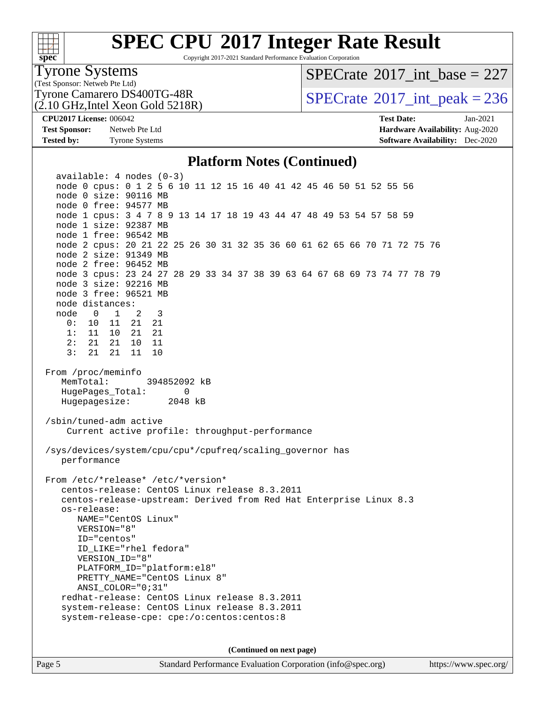#### $+\ +$ **[spec](http://www.spec.org/)**

# **[SPEC CPU](http://www.spec.org/auto/cpu2017/Docs/result-fields.html#SPECCPU2017IntegerRateResult)[2017 Integer Rate Result](http://www.spec.org/auto/cpu2017/Docs/result-fields.html#SPECCPU2017IntegerRateResult)**

Copyright 2017-2021 Standard Performance Evaluation Corporation

### Tyrone Systems

(Test Sponsor: Netweb Pte Ltd)

(2.10 GHz,Intel Xeon Gold 5218R)

### $SPECTate$ <sup>®</sup>[2017\\_int\\_base =](http://www.spec.org/auto/cpu2017/Docs/result-fields.html#SPECrate2017intbase) 227

Tyrone Camarero DS400TG-48R<br> $\frac{(2.10 \text{ GHz Intel Year Gold 5218R})}{2.10 \text{ GHz Intel Year Gold 5218R}}$ 

**[Test Sponsor:](http://www.spec.org/auto/cpu2017/Docs/result-fields.html#TestSponsor)** Netweb Pte Ltd **[Hardware Availability:](http://www.spec.org/auto/cpu2017/Docs/result-fields.html#HardwareAvailability)** Aug-2020 **[Tested by:](http://www.spec.org/auto/cpu2017/Docs/result-fields.html#Testedby)** Tyrone Systems **[Software Availability:](http://www.spec.org/auto/cpu2017/Docs/result-fields.html#SoftwareAvailability)** Dec-2020

**[CPU2017 License:](http://www.spec.org/auto/cpu2017/Docs/result-fields.html#CPU2017License)** 006042 **[Test Date:](http://www.spec.org/auto/cpu2017/Docs/result-fields.html#TestDate)** Jan-2021

#### **[Platform Notes \(Continued\)](http://www.spec.org/auto/cpu2017/Docs/result-fields.html#PlatformNotes)**

 available: 4 nodes (0-3) node 0 cpus: 0 1 2 5 6 10 11 12 15 16 40 41 42 45 46 50 51 52 55 56 node 0 size: 90116 MB node 0 free: 94577 MB node 1 cpus: 3 4 7 8 9 13 14 17 18 19 43 44 47 48 49 53 54 57 58 59 node 1 size: 92387 MB node 1 free: 96542 MB node 2 cpus: 20 21 22 25 26 30 31 32 35 36 60 61 62 65 66 70 71 72 75 76 node 2 size: 91349 MB node 2 free: 96452 MB node 3 cpus: 23 24 27 28 29 33 34 37 38 39 63 64 67 68 69 73 74 77 78 79 node 3 size: 92216 MB node 3 free: 96521 MB node distances: node 0 1 2 3 0: 10 11 21 21 1: 11 10 21 21 2: 21 21 10 11 3: 21 21 11 10 From /proc/meminfo MemTotal: 394852092 kB HugePages\_Total: 0 Hugepagesize: 2048 kB /sbin/tuned-adm active Current active profile: throughput-performance /sys/devices/system/cpu/cpu\*/cpufreq/scaling\_governor has performance From /etc/\*release\* /etc/\*version\* centos-release: CentOS Linux release 8.3.2011 centos-release-upstream: Derived from Red Hat Enterprise Linux 8.3 os-release: NAME="CentOS Linux" VERSION="8" ID="centos" ID\_LIKE="rhel fedora" VERSION\_ID="8" PLATFORM\_ID="platform:el8" PRETTY NAME="CentOS Linux 8" ANSI\_COLOR="0;31" redhat-release: CentOS Linux release 8.3.2011 system-release: CentOS Linux release 8.3.2011 system-release-cpe: cpe:/o:centos:centos:8 **(Continued on next page)**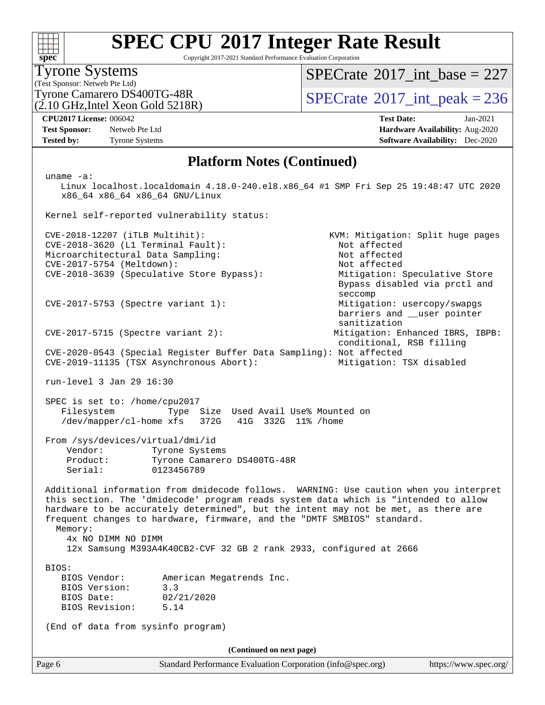# **[SPEC CPU](http://www.spec.org/auto/cpu2017/Docs/result-fields.html#SPECCPU2017IntegerRateResult)[2017 Integer Rate Result](http://www.spec.org/auto/cpu2017/Docs/result-fields.html#SPECCPU2017IntegerRateResult)**

Copyright 2017-2021 Standard Performance Evaluation Corporation

### Tyrone Systems

(Test Sponsor: Netweb Pte Ltd)

(2.10 GHz,Intel Xeon Gold 5218R)

 $SPECTate$ <sup>®</sup>[2017\\_int\\_base =](http://www.spec.org/auto/cpu2017/Docs/result-fields.html#SPECrate2017intbase) 227

Tyrone Camarero DS400TG-48R<br> $\frac{1}{2}$  [SPECrate](http://www.spec.org/auto/cpu2017/Docs/result-fields.html#SPECrate2017intpeak) [2017\\_int\\_peak = 2](http://www.spec.org/auto/cpu2017/Docs/result-fields.html#SPECrate2017intpeak)36

Bypass disabled via prctl and

barriers and \_\_user pointer

sanitization

**[Test Sponsor:](http://www.spec.org/auto/cpu2017/Docs/result-fields.html#TestSponsor)** Netweb Pte Ltd **[Hardware Availability:](http://www.spec.org/auto/cpu2017/Docs/result-fields.html#HardwareAvailability)** Aug-2020 **[Tested by:](http://www.spec.org/auto/cpu2017/Docs/result-fields.html#Testedby)** Tyrone Systems **[Software Availability:](http://www.spec.org/auto/cpu2017/Docs/result-fields.html#SoftwareAvailability)** Dec-2020

**[CPU2017 License:](http://www.spec.org/auto/cpu2017/Docs/result-fields.html#CPU2017License)** 006042 **[Test Date:](http://www.spec.org/auto/cpu2017/Docs/result-fields.html#TestDate)** Jan-2021

#### **[Platform Notes \(Continued\)](http://www.spec.org/auto/cpu2017/Docs/result-fields.html#PlatformNotes)**

uname -a:

 Linux localhost.localdomain 4.18.0-240.el8.x86\_64 #1 SMP Fri Sep 25 19:48:47 UTC 2020 x86\_64 x86\_64 x86\_64 GNU/Linux

Kernel self-reported vulnerability status:

 CVE-2018-12207 (iTLB Multihit): KVM: Mitigation: Split huge pages CVE-2018-3620 (L1 Terminal Fault): Not affected Microarchitectural Data Sampling: Not affected<br>
CVE-2017-5754 (Meltdown): Not affected  $CVE-2017-5754$  (Meltdown): CVE-2018-3639 (Speculative Store Bypass): Mitigation: Speculative Store

CVE-2017-5753 (Spectre variant 1): Mitigation: usercopy/swapgs

CVE-2017-5715 (Spectre variant 2): Mitigation: Enhanced IBRS, IBPB:

 conditional, RSB filling CVE-2020-0543 (Special Register Buffer Data Sampling): Not affected CVE-2019-11135 (TSX Asynchronous Abort): Mitigation: TSX disabled

run-level 3 Jan 29 16:30

 SPEC is set to: /home/cpu2017 Filesystem Type Size Used Avail Use% Mounted on /dev/mapper/cl-home xfs 372G 41G 332G 11% /home

seccompany and the second second seconds of the second seconds of the seconds of the seconds of the seconds of

 From /sys/devices/virtual/dmi/id Vendor: Tyrone Systems

 Product: Tyrone Camarero DS400TG-48R Serial: 0123456789

 Additional information from dmidecode follows. WARNING: Use caution when you interpret this section. The 'dmidecode' program reads system data which is "intended to allow hardware to be accurately determined", but the intent may not be met, as there are frequent changes to hardware, firmware, and the "DMTF SMBIOS" standard.

Memory:

4x NO DIMM NO DIMM

12x Samsung M393A4K40CB2-CVF 32 GB 2 rank 2933, configured at 2666

BIOS:

| BIOS Vendor:   |            | American Megatrends Inc. |  |
|----------------|------------|--------------------------|--|
| BIOS Version:  | 3.3        |                          |  |
| BIOS Date:     | 02/21/2020 |                          |  |
| BIOS Revision: | 5.14       |                          |  |

(End of data from sysinfo program)

**(Continued on next page)**

Page 6 Standard Performance Evaluation Corporation [\(info@spec.org\)](mailto:info@spec.org) <https://www.spec.org/>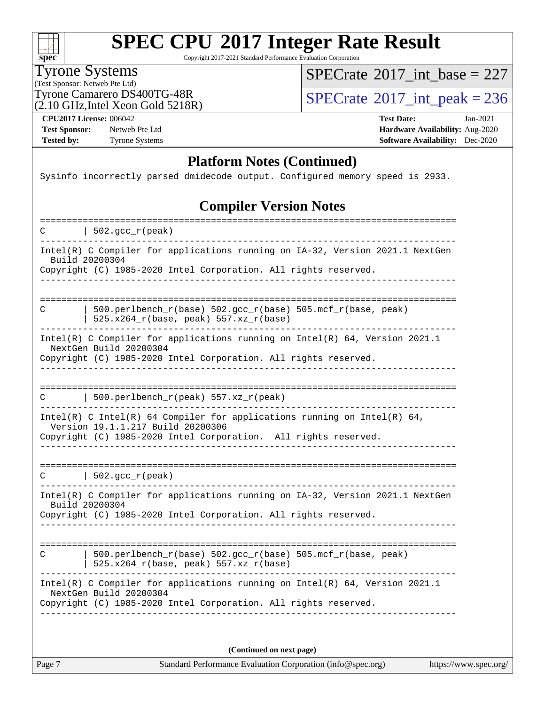$\begin{matrix} & \ + \ + \end{matrix}$ **[spec](http://www.spec.org/)**

# **[SPEC CPU](http://www.spec.org/auto/cpu2017/Docs/result-fields.html#SPECCPU2017IntegerRateResult)[2017 Integer Rate Result](http://www.spec.org/auto/cpu2017/Docs/result-fields.html#SPECCPU2017IntegerRateResult)**

Copyright 2017-2021 Standard Performance Evaluation Corporation

Tyrone Systems

(Test Sponsor: Netweb Pte Ltd)

(2.10 GHz,Intel Xeon Gold 5218R)

 $SPECrate$ <sup>®</sup>[2017\\_int\\_base =](http://www.spec.org/auto/cpu2017/Docs/result-fields.html#SPECrate2017intbase) 227

Tyrone Camarero DS400TG-48R<br> $\overline{SPECrate}$  $\overline{SPECrate}$  $\overline{SPECrate}$ <sup>®</sup>[2017\\_int\\_peak = 2](http://www.spec.org/auto/cpu2017/Docs/result-fields.html#SPECrate2017intpeak)36

**[Test Sponsor:](http://www.spec.org/auto/cpu2017/Docs/result-fields.html#TestSponsor)** Netweb Pte Ltd **[Hardware Availability:](http://www.spec.org/auto/cpu2017/Docs/result-fields.html#HardwareAvailability)** Aug-2020

**[CPU2017 License:](http://www.spec.org/auto/cpu2017/Docs/result-fields.html#CPU2017License)** 006042 **[Test Date:](http://www.spec.org/auto/cpu2017/Docs/result-fields.html#TestDate)** Jan-2021 **[Tested by:](http://www.spec.org/auto/cpu2017/Docs/result-fields.html#Testedby)** Tyrone Systems **[Software Availability:](http://www.spec.org/auto/cpu2017/Docs/result-fields.html#SoftwareAvailability)** Dec-2020

#### **[Platform Notes \(Continued\)](http://www.spec.org/auto/cpu2017/Docs/result-fields.html#PlatformNotes)**

Sysinfo incorrectly parsed dmidecode output. Configured memory speed is 2933.

#### **[Compiler Version Notes](http://www.spec.org/auto/cpu2017/Docs/result-fields.html#CompilerVersionNotes)**

==============================================================================  $C \qquad | \quad 502.\text{gcc\_r}(\text{peak})$ ------------------------------------------------------------------------------ Intel(R) C Compiler for applications running on IA-32, Version 2021.1 NextGen Build 20200304 Copyright (C) 1985-2020 Intel Corporation. All rights reserved. ------------------------------------------------------------------------------ ============================================================================== C  $\vert$  500.perlbench\_r(base) 502.gcc\_r(base) 505.mcf\_r(base, peak) |  $525.x264_r(base, peak) 557.xz_r(base)$ ------------------------------------------------------------------------------ Intel(R) C Compiler for applications running on Intel(R) 64, Version 2021.1 NextGen Build 20200304 Copyright (C) 1985-2020 Intel Corporation. All rights reserved. ------------------------------------------------------------------------------ ============================================================================== C | 500.perlbench\_r(peak) 557.xz\_r(peak) ------------------------------------------------------------------------------ Intel(R) C Intel(R) 64 Compiler for applications running on Intel(R)  $64$ , Version 19.1.1.217 Build 20200306 Copyright (C) 1985-2020 Intel Corporation. All rights reserved. ------------------------------------------------------------------------------ ==============================================================================  $C \qquad | \quad 502.\text{gcc\_r}(\text{peak})$ ------------------------------------------------------------------------------ Intel(R) C Compiler for applications running on IA-32, Version 2021.1 NextGen Build 20200304 Copyright (C) 1985-2020 Intel Corporation. All rights reserved. ------------------------------------------------------------------------------ ============================================================================== C | 500.perlbench\_r(base) 502.gcc\_r(base) 505.mcf\_r(base, peak) | 525.x264\_r(base, peak) 557.xz\_r(base) ------------------------------------------------------------------------------ Intel(R) C Compiler for applications running on Intel(R) 64, Version 2021.1 NextGen Build 20200304 Copyright (C) 1985-2020 Intel Corporation. All rights reserved. ------------------------------------------------------------------------------

**(Continued on next page)**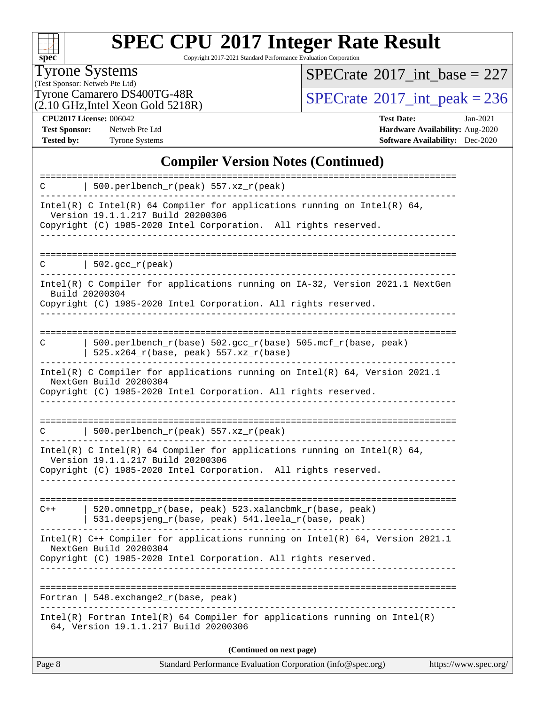

# **[SPEC CPU](http://www.spec.org/auto/cpu2017/Docs/result-fields.html#SPECCPU2017IntegerRateResult)[2017 Integer Rate Result](http://www.spec.org/auto/cpu2017/Docs/result-fields.html#SPECCPU2017IntegerRateResult)**

Copyright 2017-2021 Standard Performance Evaluation Corporation

Tyrone Systems

(Test Sponsor: Netweb Pte Ltd)

 $(2.10 \text{ GHz}, \text{Intel Xeon Gold } 5218\text{R})$ 

 $SPECrate$ <sup>®</sup>[2017\\_int\\_base =](http://www.spec.org/auto/cpu2017/Docs/result-fields.html#SPECrate2017intbase) 227

Tyrone Camarero DS400TG-48R<br> $\frac{(2.10 \text{ GHz Intel Xeon Gold 5218R})}{2.0 \text{ GHz Intel Xeon Gold 5218R}}$ 

**[CPU2017 License:](http://www.spec.org/auto/cpu2017/Docs/result-fields.html#CPU2017License)** 006042 **[Test Date:](http://www.spec.org/auto/cpu2017/Docs/result-fields.html#TestDate)** Jan-2021 **[Test Sponsor:](http://www.spec.org/auto/cpu2017/Docs/result-fields.html#TestSponsor)** Netweb Pte Ltd **[Hardware Availability:](http://www.spec.org/auto/cpu2017/Docs/result-fields.html#HardwareAvailability)** Aug-2020 **[Tested by:](http://www.spec.org/auto/cpu2017/Docs/result-fields.html#Testedby)** Tyrone Systems **[Software Availability:](http://www.spec.org/auto/cpu2017/Docs/result-fields.html#SoftwareAvailability)** Dec-2020

#### **[Compiler Version Notes \(Continued\)](http://www.spec.org/auto/cpu2017/Docs/result-fields.html#CompilerVersionNotes)**

| Page 8 | Standard Performance Evaluation Corporation (info@spec.org)                                                                                                                                                    | https://www.spec.org/ |
|--------|----------------------------------------------------------------------------------------------------------------------------------------------------------------------------------------------------------------|-----------------------|
|        | (Continued on next page)                                                                                                                                                                                       |                       |
|        | $Intel(R)$ Fortran Intel(R) 64 Compiler for applications running on Intel(R)<br>64, Version 19.1.1.217 Build 20200306                                                                                          |                       |
|        | Fortran   548. exchange $2\_r$ (base, peak)                                                                                                                                                                    |                       |
|        | Intel(R) $C++$ Compiler for applications running on Intel(R) 64, Version 2021.1<br>NextGen Build 20200304<br>Copyright (C) 1985-2020 Intel Corporation. All rights reserved.<br>------------------------------ |                       |
| $C++$  | 520.omnetpp_r(base, peak) 523.xalancbmk_r(base, peak)<br>531.deepsjeng_r(base, peak) 541.leela_r(base, peak)                                                                                                   |                       |
|        | Copyright (C) 1985-2020 Intel Corporation. All rights reserved.                                                                                                                                                |                       |
|        | Intel(R) C Intel(R) 64 Compiler for applications running on Intel(R) 64,<br>Version 19.1.1.217 Build 20200306                                                                                                  |                       |
| C      | 500.perlbench_r(peak) 557.xz_r(peak)                                                                                                                                                                           |                       |
|        | Copyright (C) 1985-2020 Intel Corporation. All rights reserved.                                                                                                                                                |                       |
|        | Intel(R) C Compiler for applications running on $Intel(R) 64$ , Version 2021.1<br>NextGen Build 20200304                                                                                                       |                       |
| C      | 500.perlbench_r(base) 502.gcc_r(base) 505.mcf_r(base, peak)<br>$525.x264_r(base, peak) 557.xz_r(base)$                                                                                                         |                       |
|        | Build 20200304<br>Copyright (C) 1985-2020 Intel Corporation. All rights reserved.                                                                                                                              |                       |
| C      | 502.gcc_r(peak)<br>Intel(R) C Compiler for applications running on IA-32, Version 2021.1 NextGen                                                                                                               |                       |
|        |                                                                                                                                                                                                                |                       |
|        | Version 19.1.1.217 Build 20200306<br>Copyright (C) 1985-2020 Intel Corporation. All rights reserved.                                                                                                           |                       |
|        | Intel(R) C Intel(R) 64 Compiler for applications running on Intel(R) 64,                                                                                                                                       |                       |
| C      | 500.perlbench_r(peak) 557.xz_r(peak)                                                                                                                                                                           |                       |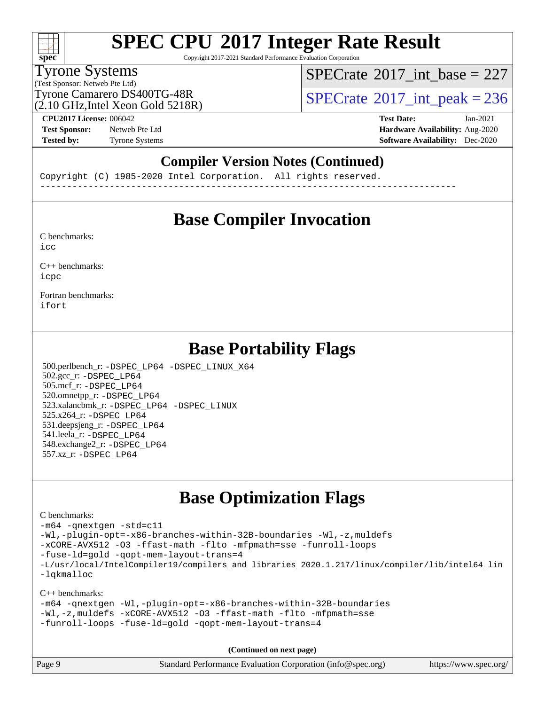# **[SPEC CPU](http://www.spec.org/auto/cpu2017/Docs/result-fields.html#SPECCPU2017IntegerRateResult)[2017 Integer Rate Result](http://www.spec.org/auto/cpu2017/Docs/result-fields.html#SPECCPU2017IntegerRateResult)**

Copyright 2017-2021 Standard Performance Evaluation Corporation

### Tyrone Systems

(Test Sponsor: Netweb Pte Ltd)

 $(2.10 \text{ GHz}$ . Intel Xeon Gold 5218R)

 $SPECTate@2017_int\_base = 227$ 

Tyrone Camarero DS400TG-48R<br> $\frac{1}{2}$  [SPECrate](http://www.spec.org/auto/cpu2017/Docs/result-fields.html#SPECrate2017intpeak) [2017\\_int\\_peak = 2](http://www.spec.org/auto/cpu2017/Docs/result-fields.html#SPECrate2017intpeak)36

**[Test Sponsor:](http://www.spec.org/auto/cpu2017/Docs/result-fields.html#TestSponsor)** Netweb Pte Ltd **[Hardware Availability:](http://www.spec.org/auto/cpu2017/Docs/result-fields.html#HardwareAvailability)** Aug-2020

**[CPU2017 License:](http://www.spec.org/auto/cpu2017/Docs/result-fields.html#CPU2017License)** 006042 **[Test Date:](http://www.spec.org/auto/cpu2017/Docs/result-fields.html#TestDate)** Jan-2021 **[Tested by:](http://www.spec.org/auto/cpu2017/Docs/result-fields.html#Testedby)** Tyrone Systems **[Software Availability:](http://www.spec.org/auto/cpu2017/Docs/result-fields.html#SoftwareAvailability)** Dec-2020

#### **[Compiler Version Notes \(Continued\)](http://www.spec.org/auto/cpu2017/Docs/result-fields.html#CompilerVersionNotes)**

Copyright (C) 1985-2020 Intel Corporation. All rights reserved. ------------------------------------------------------------------------------

### **[Base Compiler Invocation](http://www.spec.org/auto/cpu2017/Docs/result-fields.html#BaseCompilerInvocation)**

[C benchmarks](http://www.spec.org/auto/cpu2017/Docs/result-fields.html#Cbenchmarks):  $i$ cc

[C++ benchmarks:](http://www.spec.org/auto/cpu2017/Docs/result-fields.html#CXXbenchmarks) [icpc](http://www.spec.org/cpu2017/results/res2021q1/cpu2017-20210201-24871.flags.html#user_CXXbase_intel_icpc_c510b6838c7f56d33e37e94d029a35b4a7bccf4766a728ee175e80a419847e808290a9b78be685c44ab727ea267ec2f070ec5dc83b407c0218cded6866a35d07)

[Fortran benchmarks](http://www.spec.org/auto/cpu2017/Docs/result-fields.html#Fortranbenchmarks): [ifort](http://www.spec.org/cpu2017/results/res2021q1/cpu2017-20210201-24871.flags.html#user_FCbase_intel_ifort_8111460550e3ca792625aed983ce982f94888b8b503583aa7ba2b8303487b4d8a21a13e7191a45c5fd58ff318f48f9492884d4413fa793fd88dd292cad7027ca)

### **[Base Portability Flags](http://www.spec.org/auto/cpu2017/Docs/result-fields.html#BasePortabilityFlags)**

 500.perlbench\_r: [-DSPEC\\_LP64](http://www.spec.org/cpu2017/results/res2021q1/cpu2017-20210201-24871.flags.html#b500.perlbench_r_basePORTABILITY_DSPEC_LP64) [-DSPEC\\_LINUX\\_X64](http://www.spec.org/cpu2017/results/res2021q1/cpu2017-20210201-24871.flags.html#b500.perlbench_r_baseCPORTABILITY_DSPEC_LINUX_X64) 502.gcc\_r: [-DSPEC\\_LP64](http://www.spec.org/cpu2017/results/res2021q1/cpu2017-20210201-24871.flags.html#suite_basePORTABILITY502_gcc_r_DSPEC_LP64) 505.mcf\_r: [-DSPEC\\_LP64](http://www.spec.org/cpu2017/results/res2021q1/cpu2017-20210201-24871.flags.html#suite_basePORTABILITY505_mcf_r_DSPEC_LP64) 520.omnetpp\_r: [-DSPEC\\_LP64](http://www.spec.org/cpu2017/results/res2021q1/cpu2017-20210201-24871.flags.html#suite_basePORTABILITY520_omnetpp_r_DSPEC_LP64) 523.xalancbmk\_r: [-DSPEC\\_LP64](http://www.spec.org/cpu2017/results/res2021q1/cpu2017-20210201-24871.flags.html#suite_basePORTABILITY523_xalancbmk_r_DSPEC_LP64) [-DSPEC\\_LINUX](http://www.spec.org/cpu2017/results/res2021q1/cpu2017-20210201-24871.flags.html#b523.xalancbmk_r_baseCXXPORTABILITY_DSPEC_LINUX) 525.x264\_r: [-DSPEC\\_LP64](http://www.spec.org/cpu2017/results/res2021q1/cpu2017-20210201-24871.flags.html#suite_basePORTABILITY525_x264_r_DSPEC_LP64) 531.deepsjeng\_r: [-DSPEC\\_LP64](http://www.spec.org/cpu2017/results/res2021q1/cpu2017-20210201-24871.flags.html#suite_basePORTABILITY531_deepsjeng_r_DSPEC_LP64) 541.leela\_r: [-DSPEC\\_LP64](http://www.spec.org/cpu2017/results/res2021q1/cpu2017-20210201-24871.flags.html#suite_basePORTABILITY541_leela_r_DSPEC_LP64) 548.exchange2\_r: [-DSPEC\\_LP64](http://www.spec.org/cpu2017/results/res2021q1/cpu2017-20210201-24871.flags.html#suite_basePORTABILITY548_exchange2_r_DSPEC_LP64) 557.xz\_r: [-DSPEC\\_LP64](http://www.spec.org/cpu2017/results/res2021q1/cpu2017-20210201-24871.flags.html#suite_basePORTABILITY557_xz_r_DSPEC_LP64)

### **[Base Optimization Flags](http://www.spec.org/auto/cpu2017/Docs/result-fields.html#BaseOptimizationFlags)**

#### [C benchmarks](http://www.spec.org/auto/cpu2017/Docs/result-fields.html#Cbenchmarks):

[-m64](http://www.spec.org/cpu2017/results/res2021q1/cpu2017-20210201-24871.flags.html#user_CCbase_m64-icc) [-qnextgen](http://www.spec.org/cpu2017/results/res2021q1/cpu2017-20210201-24871.flags.html#user_CCbase_f-qnextgen) [-std=c11](http://www.spec.org/cpu2017/results/res2021q1/cpu2017-20210201-24871.flags.html#user_CCbase_std-icc-std_0e1c27790398a4642dfca32ffe6c27b5796f9c2d2676156f2e42c9c44eaad0c049b1cdb667a270c34d979996257aeb8fc440bfb01818dbc9357bd9d174cb8524) [-Wl,-plugin-opt=-x86-branches-within-32B-boundaries](http://www.spec.org/cpu2017/results/res2021q1/cpu2017-20210201-24871.flags.html#user_CCbase_f-x86-branches-within-32B-boundaries_0098b4e4317ae60947b7b728078a624952a08ac37a3c797dfb4ffeb399e0c61a9dd0f2f44ce917e9361fb9076ccb15e7824594512dd315205382d84209e912f3) [-Wl,-z,muldefs](http://www.spec.org/cpu2017/results/res2021q1/cpu2017-20210201-24871.flags.html#user_CCbase_link_force_multiple1_b4cbdb97b34bdee9ceefcfe54f4c8ea74255f0b02a4b23e853cdb0e18eb4525ac79b5a88067c842dd0ee6996c24547a27a4b99331201badda8798ef8a743f577) [-xCORE-AVX512](http://www.spec.org/cpu2017/results/res2021q1/cpu2017-20210201-24871.flags.html#user_CCbase_f-xCORE-AVX512) [-O3](http://www.spec.org/cpu2017/results/res2021q1/cpu2017-20210201-24871.flags.html#user_CCbase_f-O3) [-ffast-math](http://www.spec.org/cpu2017/results/res2021q1/cpu2017-20210201-24871.flags.html#user_CCbase_f-ffast-math) [-flto](http://www.spec.org/cpu2017/results/res2021q1/cpu2017-20210201-24871.flags.html#user_CCbase_f-flto) [-mfpmath=sse](http://www.spec.org/cpu2017/results/res2021q1/cpu2017-20210201-24871.flags.html#user_CCbase_f-mfpmath_70eb8fac26bde974f8ab713bc9086c5621c0b8d2f6c86f38af0bd7062540daf19db5f3a066d8c6684be05d84c9b6322eb3b5be6619d967835195b93d6c02afa1) [-funroll-loops](http://www.spec.org/cpu2017/results/res2021q1/cpu2017-20210201-24871.flags.html#user_CCbase_f-funroll-loops) [-fuse-ld=gold](http://www.spec.org/cpu2017/results/res2021q1/cpu2017-20210201-24871.flags.html#user_CCbase_f-fuse-ld_920b3586e2b8c6e0748b9c84fa9b744736ba725a32cab14ad8f3d4ad28eecb2f59d1144823d2e17006539a88734fe1fc08fc3035f7676166309105a78aaabc32) [-qopt-mem-layout-trans=4](http://www.spec.org/cpu2017/results/res2021q1/cpu2017-20210201-24871.flags.html#user_CCbase_f-qopt-mem-layout-trans_fa39e755916c150a61361b7846f310bcdf6f04e385ef281cadf3647acec3f0ae266d1a1d22d972a7087a248fd4e6ca390a3634700869573d231a252c784941a8) [-L/usr/local/IntelCompiler19/compilers\\_and\\_libraries\\_2020.1.217/linux/compiler/lib/intel64\\_lin](http://www.spec.org/cpu2017/results/res2021q1/cpu2017-20210201-24871.flags.html#user_CCbase_linkpath_2cb6f503891ebf8baee7515f4e7d4ec1217444d1d05903cc0091ac4158de400651d2b2313a9fa414cb8a8f0e16ab029634f5c6db340f400369c190d4db8a54a0) [-lqkmalloc](http://www.spec.org/cpu2017/results/res2021q1/cpu2017-20210201-24871.flags.html#user_CCbase_qkmalloc_link_lib_79a818439969f771c6bc311cfd333c00fc099dad35c030f5aab9dda831713d2015205805422f83de8875488a2991c0a156aaa600e1f9138f8fc37004abc96dc5)

#### [C++ benchmarks](http://www.spec.org/auto/cpu2017/Docs/result-fields.html#CXXbenchmarks):

[-m64](http://www.spec.org/cpu2017/results/res2021q1/cpu2017-20210201-24871.flags.html#user_CXXbase_m64-icc) [-qnextgen](http://www.spec.org/cpu2017/results/res2021q1/cpu2017-20210201-24871.flags.html#user_CXXbase_f-qnextgen) [-Wl,-plugin-opt=-x86-branches-within-32B-boundaries](http://www.spec.org/cpu2017/results/res2021q1/cpu2017-20210201-24871.flags.html#user_CXXbase_f-x86-branches-within-32B-boundaries_0098b4e4317ae60947b7b728078a624952a08ac37a3c797dfb4ffeb399e0c61a9dd0f2f44ce917e9361fb9076ccb15e7824594512dd315205382d84209e912f3) [-Wl,-z,muldefs](http://www.spec.org/cpu2017/results/res2021q1/cpu2017-20210201-24871.flags.html#user_CXXbase_link_force_multiple1_b4cbdb97b34bdee9ceefcfe54f4c8ea74255f0b02a4b23e853cdb0e18eb4525ac79b5a88067c842dd0ee6996c24547a27a4b99331201badda8798ef8a743f577) [-xCORE-AVX512](http://www.spec.org/cpu2017/results/res2021q1/cpu2017-20210201-24871.flags.html#user_CXXbase_f-xCORE-AVX512) [-O3](http://www.spec.org/cpu2017/results/res2021q1/cpu2017-20210201-24871.flags.html#user_CXXbase_f-O3) [-ffast-math](http://www.spec.org/cpu2017/results/res2021q1/cpu2017-20210201-24871.flags.html#user_CXXbase_f-ffast-math) [-flto](http://www.spec.org/cpu2017/results/res2021q1/cpu2017-20210201-24871.flags.html#user_CXXbase_f-flto) [-mfpmath=sse](http://www.spec.org/cpu2017/results/res2021q1/cpu2017-20210201-24871.flags.html#user_CXXbase_f-mfpmath_70eb8fac26bde974f8ab713bc9086c5621c0b8d2f6c86f38af0bd7062540daf19db5f3a066d8c6684be05d84c9b6322eb3b5be6619d967835195b93d6c02afa1) [-funroll-loops](http://www.spec.org/cpu2017/results/res2021q1/cpu2017-20210201-24871.flags.html#user_CXXbase_f-funroll-loops) [-fuse-ld=gold](http://www.spec.org/cpu2017/results/res2021q1/cpu2017-20210201-24871.flags.html#user_CXXbase_f-fuse-ld_920b3586e2b8c6e0748b9c84fa9b744736ba725a32cab14ad8f3d4ad28eecb2f59d1144823d2e17006539a88734fe1fc08fc3035f7676166309105a78aaabc32) [-qopt-mem-layout-trans=4](http://www.spec.org/cpu2017/results/res2021q1/cpu2017-20210201-24871.flags.html#user_CXXbase_f-qopt-mem-layout-trans_fa39e755916c150a61361b7846f310bcdf6f04e385ef281cadf3647acec3f0ae266d1a1d22d972a7087a248fd4e6ca390a3634700869573d231a252c784941a8)

**(Continued on next page)**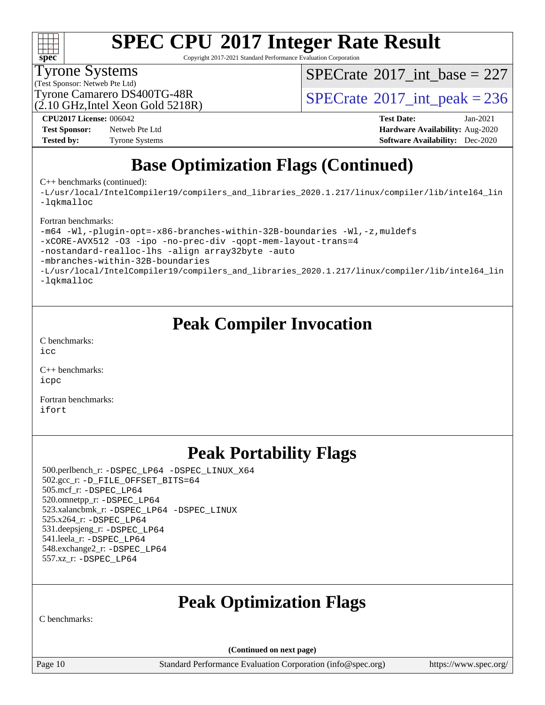

# **[SPEC CPU](http://www.spec.org/auto/cpu2017/Docs/result-fields.html#SPECCPU2017IntegerRateResult)[2017 Integer Rate Result](http://www.spec.org/auto/cpu2017/Docs/result-fields.html#SPECCPU2017IntegerRateResult)**

Copyright 2017-2021 Standard Performance Evaluation Corporation

Tyrone Systems

(Test Sponsor: Netweb Pte Ltd)

 $SPECTate$ <sup>®</sup>[2017\\_int\\_base =](http://www.spec.org/auto/cpu2017/Docs/result-fields.html#SPECrate2017intbase) 227

(2.10 GHz,Intel Xeon Gold 5218R)

Tyrone Camarero DS400TG-48R<br> $\overline{SPECrate}$  $\overline{SPECrate}$  $\overline{SPECrate}$ <sup>®</sup>[2017\\_int\\_peak = 2](http://www.spec.org/auto/cpu2017/Docs/result-fields.html#SPECrate2017intpeak)36

**[Test Sponsor:](http://www.spec.org/auto/cpu2017/Docs/result-fields.html#TestSponsor)** Netweb Pte Ltd **[Hardware Availability:](http://www.spec.org/auto/cpu2017/Docs/result-fields.html#HardwareAvailability)** Aug-2020 **[Tested by:](http://www.spec.org/auto/cpu2017/Docs/result-fields.html#Testedby)** Tyrone Systems **[Software Availability:](http://www.spec.org/auto/cpu2017/Docs/result-fields.html#SoftwareAvailability)** Dec-2020

**[CPU2017 License:](http://www.spec.org/auto/cpu2017/Docs/result-fields.html#CPU2017License)** 006042 **[Test Date:](http://www.spec.org/auto/cpu2017/Docs/result-fields.html#TestDate)** Jan-2021

## **[Base Optimization Flags \(Continued\)](http://www.spec.org/auto/cpu2017/Docs/result-fields.html#BaseOptimizationFlags)**

[C++ benchmarks](http://www.spec.org/auto/cpu2017/Docs/result-fields.html#CXXbenchmarks) (continued):

[-L/usr/local/IntelCompiler19/compilers\\_and\\_libraries\\_2020.1.217/linux/compiler/lib/intel64\\_lin](http://www.spec.org/cpu2017/results/res2021q1/cpu2017-20210201-24871.flags.html#user_CXXbase_linkpath_2cb6f503891ebf8baee7515f4e7d4ec1217444d1d05903cc0091ac4158de400651d2b2313a9fa414cb8a8f0e16ab029634f5c6db340f400369c190d4db8a54a0) [-lqkmalloc](http://www.spec.org/cpu2017/results/res2021q1/cpu2017-20210201-24871.flags.html#user_CXXbase_qkmalloc_link_lib_79a818439969f771c6bc311cfd333c00fc099dad35c030f5aab9dda831713d2015205805422f83de8875488a2991c0a156aaa600e1f9138f8fc37004abc96dc5)

[Fortran benchmarks:](http://www.spec.org/auto/cpu2017/Docs/result-fields.html#Fortranbenchmarks)

[-m64](http://www.spec.org/cpu2017/results/res2021q1/cpu2017-20210201-24871.flags.html#user_FCbase_m64-icc) [-Wl,-plugin-opt=-x86-branches-within-32B-boundaries](http://www.spec.org/cpu2017/results/res2021q1/cpu2017-20210201-24871.flags.html#user_FCbase_f-x86-branches-within-32B-boundaries_0098b4e4317ae60947b7b728078a624952a08ac37a3c797dfb4ffeb399e0c61a9dd0f2f44ce917e9361fb9076ccb15e7824594512dd315205382d84209e912f3) [-Wl,-z,muldefs](http://www.spec.org/cpu2017/results/res2021q1/cpu2017-20210201-24871.flags.html#user_FCbase_link_force_multiple1_b4cbdb97b34bdee9ceefcfe54f4c8ea74255f0b02a4b23e853cdb0e18eb4525ac79b5a88067c842dd0ee6996c24547a27a4b99331201badda8798ef8a743f577) [-xCORE-AVX512](http://www.spec.org/cpu2017/results/res2021q1/cpu2017-20210201-24871.flags.html#user_FCbase_f-xCORE-AVX512) [-O3](http://www.spec.org/cpu2017/results/res2021q1/cpu2017-20210201-24871.flags.html#user_FCbase_f-O3) [-ipo](http://www.spec.org/cpu2017/results/res2021q1/cpu2017-20210201-24871.flags.html#user_FCbase_f-ipo) [-no-prec-div](http://www.spec.org/cpu2017/results/res2021q1/cpu2017-20210201-24871.flags.html#user_FCbase_f-no-prec-div) [-qopt-mem-layout-trans=4](http://www.spec.org/cpu2017/results/res2021q1/cpu2017-20210201-24871.flags.html#user_FCbase_f-qopt-mem-layout-trans_fa39e755916c150a61361b7846f310bcdf6f04e385ef281cadf3647acec3f0ae266d1a1d22d972a7087a248fd4e6ca390a3634700869573d231a252c784941a8) [-nostandard-realloc-lhs](http://www.spec.org/cpu2017/results/res2021q1/cpu2017-20210201-24871.flags.html#user_FCbase_f_2003_std_realloc_82b4557e90729c0f113870c07e44d33d6f5a304b4f63d4c15d2d0f1fab99f5daaed73bdb9275d9ae411527f28b936061aa8b9c8f2d63842963b95c9dd6426b8a) [-align array32byte](http://www.spec.org/cpu2017/results/res2021q1/cpu2017-20210201-24871.flags.html#user_FCbase_align_array32byte_b982fe038af199962ba9a80c053b8342c548c85b40b8e86eb3cc33dee0d7986a4af373ac2d51c3f7cf710a18d62fdce2948f201cd044323541f22fc0fffc51b6) [-auto](http://www.spec.org/cpu2017/results/res2021q1/cpu2017-20210201-24871.flags.html#user_FCbase_f-auto) [-mbranches-within-32B-boundaries](http://www.spec.org/cpu2017/results/res2021q1/cpu2017-20210201-24871.flags.html#user_FCbase_f-mbranches-within-32B-boundaries) [-L/usr/local/IntelCompiler19/compilers\\_and\\_libraries\\_2020.1.217/linux/compiler/lib/intel64\\_lin](http://www.spec.org/cpu2017/results/res2021q1/cpu2017-20210201-24871.flags.html#user_FCbase_linkpath_2cb6f503891ebf8baee7515f4e7d4ec1217444d1d05903cc0091ac4158de400651d2b2313a9fa414cb8a8f0e16ab029634f5c6db340f400369c190d4db8a54a0) [-lqkmalloc](http://www.spec.org/cpu2017/results/res2021q1/cpu2017-20210201-24871.flags.html#user_FCbase_qkmalloc_link_lib_79a818439969f771c6bc311cfd333c00fc099dad35c030f5aab9dda831713d2015205805422f83de8875488a2991c0a156aaa600e1f9138f8fc37004abc96dc5)

### **[Peak Compiler Invocation](http://www.spec.org/auto/cpu2017/Docs/result-fields.html#PeakCompilerInvocation)**

[C benchmarks](http://www.spec.org/auto/cpu2017/Docs/result-fields.html#Cbenchmarks):  $inc$ 

[C++ benchmarks:](http://www.spec.org/auto/cpu2017/Docs/result-fields.html#CXXbenchmarks) [icpc](http://www.spec.org/cpu2017/results/res2021q1/cpu2017-20210201-24871.flags.html#user_CXXpeak_intel_icpc_c510b6838c7f56d33e37e94d029a35b4a7bccf4766a728ee175e80a419847e808290a9b78be685c44ab727ea267ec2f070ec5dc83b407c0218cded6866a35d07)

[Fortran benchmarks](http://www.spec.org/auto/cpu2017/Docs/result-fields.html#Fortranbenchmarks): [ifort](http://www.spec.org/cpu2017/results/res2021q1/cpu2017-20210201-24871.flags.html#user_FCpeak_intel_ifort_8111460550e3ca792625aed983ce982f94888b8b503583aa7ba2b8303487b4d8a21a13e7191a45c5fd58ff318f48f9492884d4413fa793fd88dd292cad7027ca)

## **[Peak Portability Flags](http://www.spec.org/auto/cpu2017/Docs/result-fields.html#PeakPortabilityFlags)**

 500.perlbench\_r: [-DSPEC\\_LP64](http://www.spec.org/cpu2017/results/res2021q1/cpu2017-20210201-24871.flags.html#b500.perlbench_r_peakPORTABILITY_DSPEC_LP64) [-DSPEC\\_LINUX\\_X64](http://www.spec.org/cpu2017/results/res2021q1/cpu2017-20210201-24871.flags.html#b500.perlbench_r_peakCPORTABILITY_DSPEC_LINUX_X64) 502.gcc\_r: [-D\\_FILE\\_OFFSET\\_BITS=64](http://www.spec.org/cpu2017/results/res2021q1/cpu2017-20210201-24871.flags.html#user_peakPORTABILITY502_gcc_r_file_offset_bits_64_5ae949a99b284ddf4e95728d47cb0843d81b2eb0e18bdfe74bbf0f61d0b064f4bda2f10ea5eb90e1dcab0e84dbc592acfc5018bc955c18609f94ddb8d550002c) 505.mcf\_r: [-DSPEC\\_LP64](http://www.spec.org/cpu2017/results/res2021q1/cpu2017-20210201-24871.flags.html#suite_peakPORTABILITY505_mcf_r_DSPEC_LP64) 520.omnetpp\_r: [-DSPEC\\_LP64](http://www.spec.org/cpu2017/results/res2021q1/cpu2017-20210201-24871.flags.html#suite_peakPORTABILITY520_omnetpp_r_DSPEC_LP64) 523.xalancbmk\_r: [-DSPEC\\_LP64](http://www.spec.org/cpu2017/results/res2021q1/cpu2017-20210201-24871.flags.html#suite_peakPORTABILITY523_xalancbmk_r_DSPEC_LP64) [-DSPEC\\_LINUX](http://www.spec.org/cpu2017/results/res2021q1/cpu2017-20210201-24871.flags.html#b523.xalancbmk_r_peakCXXPORTABILITY_DSPEC_LINUX) 525.x264\_r: [-DSPEC\\_LP64](http://www.spec.org/cpu2017/results/res2021q1/cpu2017-20210201-24871.flags.html#suite_peakPORTABILITY525_x264_r_DSPEC_LP64) 531.deepsjeng\_r: [-DSPEC\\_LP64](http://www.spec.org/cpu2017/results/res2021q1/cpu2017-20210201-24871.flags.html#suite_peakPORTABILITY531_deepsjeng_r_DSPEC_LP64) 541.leela\_r: [-DSPEC\\_LP64](http://www.spec.org/cpu2017/results/res2021q1/cpu2017-20210201-24871.flags.html#suite_peakPORTABILITY541_leela_r_DSPEC_LP64) 548.exchange2\_r: [-DSPEC\\_LP64](http://www.spec.org/cpu2017/results/res2021q1/cpu2017-20210201-24871.flags.html#suite_peakPORTABILITY548_exchange2_r_DSPEC_LP64) 557.xz\_r: [-DSPEC\\_LP64](http://www.spec.org/cpu2017/results/res2021q1/cpu2017-20210201-24871.flags.html#suite_peakPORTABILITY557_xz_r_DSPEC_LP64)

## **[Peak Optimization Flags](http://www.spec.org/auto/cpu2017/Docs/result-fields.html#PeakOptimizationFlags)**

[C benchmarks:](http://www.spec.org/auto/cpu2017/Docs/result-fields.html#Cbenchmarks)

**(Continued on next page)**

Page 10 Standard Performance Evaluation Corporation [\(info@spec.org\)](mailto:info@spec.org) <https://www.spec.org/>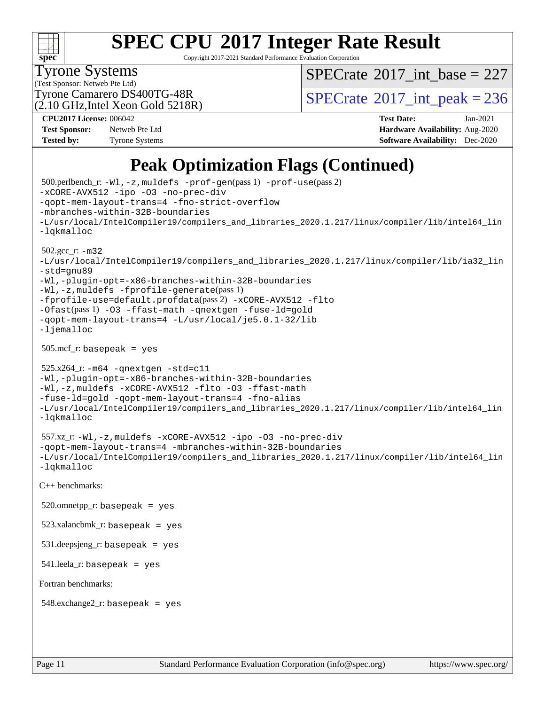# **[SPEC CPU](http://www.spec.org/auto/cpu2017/Docs/result-fields.html#SPECCPU2017IntegerRateResult)[2017 Integer Rate Result](http://www.spec.org/auto/cpu2017/Docs/result-fields.html#SPECCPU2017IntegerRateResult)**

Copyright 2017-2021 Standard Performance Evaluation Corporation

Tyrone Systems

 $SPECTate$ <sup>®</sup>[2017\\_int\\_base =](http://www.spec.org/auto/cpu2017/Docs/result-fields.html#SPECrate2017intbase) 227

(Test Sponsor: Netweb Pte Ltd) (2.10 GHz,Intel Xeon Gold 5218R)

Tyrone Camarero DS400TG-48R<br> $\overline{SPECrate}$  $\overline{SPECrate}$  $\overline{SPECrate}$ <sup>®</sup>[2017\\_int\\_peak = 2](http://www.spec.org/auto/cpu2017/Docs/result-fields.html#SPECrate2017intpeak)36

**[Test Sponsor:](http://www.spec.org/auto/cpu2017/Docs/result-fields.html#TestSponsor)** Netweb Pte Ltd **[Hardware Availability:](http://www.spec.org/auto/cpu2017/Docs/result-fields.html#HardwareAvailability)** Aug-2020 **[Tested by:](http://www.spec.org/auto/cpu2017/Docs/result-fields.html#Testedby)** Tyrone Systems **[Software Availability:](http://www.spec.org/auto/cpu2017/Docs/result-fields.html#SoftwareAvailability)** Dec-2020

**[CPU2017 License:](http://www.spec.org/auto/cpu2017/Docs/result-fields.html#CPU2017License)** 006042 **[Test Date:](http://www.spec.org/auto/cpu2017/Docs/result-fields.html#TestDate)** Jan-2021

### **[Peak Optimization Flags \(Continued\)](http://www.spec.org/auto/cpu2017/Docs/result-fields.html#PeakOptimizationFlags)**

```
 500.perlbench_r: -Wl,-z,muldefs -prof-gen(pass 1) -prof-use(pass 2)
-xCORE-AVX512 -ipo -O3 -no-prec-div
-qopt-mem-layout-trans=4 -fno-strict-overflow
-mbranches-within-32B-boundaries
-L/usr/local/IntelCompiler19/compilers_and_libraries_2020.1.217/linux/compiler/lib/intel64_lin
-lqkmalloc
 502.gcc_r: -m32
-L/usr/local/IntelCompiler19/compilers_and_libraries_2020.1.217/linux/compiler/lib/ia32_lin
-std=gnu89
-Wl,-plugin-opt=-x86-branches-within-32B-boundaries
-Wl,-z,muldefs -fprofile-generate(pass 1)
-fprofile-use=default.profdata(pass 2) -xCORE-AVX512 -flto
-Ofast(pass 1) -O3 -ffast-math -qnextgen -fuse-ld=gold
-qopt-mem-layout-trans=4 -L/usr/local/je5.0.1-32/lib
-ljemalloc
505.\text{mcf}_r: basepeak = yes
 525.x264_r: -m64 -qnextgen -std=c11
-Wl,-plugin-opt=-x86-branches-within-32B-boundaries
-Wl,-z,muldefs -xCORE-AVX512 -flto -O3 -ffast-math
-fuse-ld=gold -qopt-mem-layout-trans=4 -fno-alias
-L/usr/local/IntelCompiler19/compilers_and_libraries_2020.1.217/linux/compiler/lib/intel64_lin
-lqkmalloc
 557.xz_r: -Wl,-z,muldefs -xCORE-AVX512 -ipo -O3 -no-prec-div
-qopt-mem-layout-trans=4 -mbranches-within-32B-boundaries
-L/usr/local/IntelCompiler19/compilers_and_libraries_2020.1.217/linux/compiler/lib/intel64_lin
-lqkmalloc
C++ benchmarks: 
520.omnetpp_r: basepeak = yes
 523.xalancbmk_r: basepeak = yes
 531.deepsjeng_r: basepeak = yes
 541.leela_r: basepeak = yes
Fortran benchmarks: 
 548.exchange2_r: basepeak = yes
```